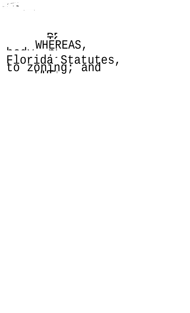## Florida Statutes,<br>Florida Statutes,<br>to zoning; and